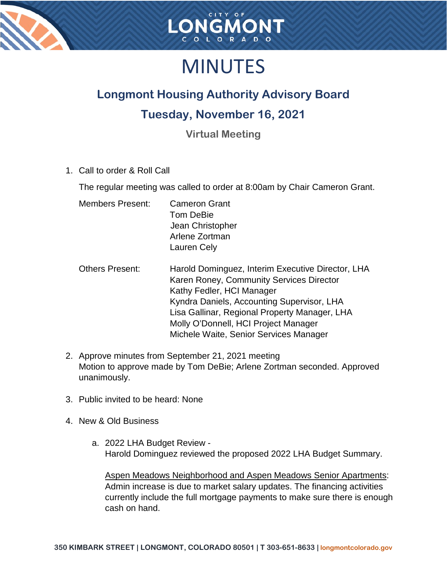



## MINUTES

## **Longmont Housing Authority Advisory Board**

## **Tuesday, November 16, 2021**

**Virtual Meeting**

1. Call to order & Roll Call

The regular meeting was called to order at 8:00am by Chair Cameron Grant.

- Members Present: Cameron Grant Tom DeBie Jean Christopher Arlene Zortman Lauren Cely
- Others Present: Harold Dominguez, Interim Executive Director, LHA Karen Roney, Community Services Director Kathy Fedler, HCI Manager Kyndra Daniels, Accounting Supervisor, LHA Lisa Gallinar, Regional Property Manager, LHA Molly O'Donnell, HCI Project Manager Michele Waite, Senior Services Manager
- 2. Approve minutes from September 21, 2021 meeting Motion to approve made by Tom DeBie; Arlene Zortman seconded. Approved unanimously.
- 3. Public invited to be heard: None
- 4. New & Old Business
	- a. 2022 LHA Budget Review Harold Dominguez reviewed the proposed 2022 LHA Budget Summary.

Aspen Meadows Neighborhood and Aspen Meadows Senior Apartments: Admin increase is due to market salary updates. The financing activities currently include the full mortgage payments to make sure there is enough cash on hand.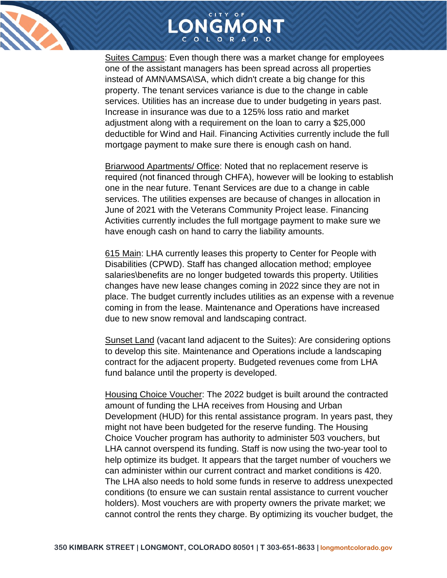



Suites Campus: Even though there was a market change for employees one of the assistant managers has been spread across all properties instead of AMN\AMSA\SA, which didn't create a big change for this property. The tenant services variance is due to the change in cable services. Utilities has an increase due to under budgeting in years past. Increase in insurance was due to a 125% loss ratio and market adjustment along with a requirement on the loan to carry a \$25,000 deductible for Wind and Hail. Financing Activities currently include the full mortgage payment to make sure there is enough cash on hand.

Briarwood Apartments/ Office: Noted that no replacement reserve is required (not financed through CHFA), however will be looking to establish one in the near future. Tenant Services are due to a change in cable services. The utilities expenses are because of changes in allocation in June of 2021 with the Veterans Community Project lease. Financing Activities currently includes the full mortgage payment to make sure we have enough cash on hand to carry the liability amounts.

615 Main: LHA currently leases this property to Center for People with Disabilities (CPWD). Staff has changed allocation method; employee salaries\benefits are no longer budgeted towards this property. Utilities changes have new lease changes coming in 2022 since they are not in place. The budget currently includes utilities as an expense with a revenue coming in from the lease. Maintenance and Operations have increased due to new snow removal and landscaping contract.

Sunset Land (vacant land adjacent to the Suites): Are considering options to develop this site. Maintenance and Operations include a landscaping contract for the adjacent property. Budgeted revenues come from LHA fund balance until the property is developed.

Housing Choice Voucher: The 2022 budget is built around the contracted amount of funding the LHA receives from Housing and Urban Development (HUD) for this rental assistance program. In years past, they might not have been budgeted for the reserve funding. The Housing Choice Voucher program has authority to administer 503 vouchers, but LHA cannot overspend its funding. Staff is now using the two-year tool to help optimize its budget. It appears that the target number of vouchers we can administer within our current contract and market conditions is 420. The LHA also needs to hold some funds in reserve to address unexpected conditions (to ensure we can sustain rental assistance to current voucher holders). Most vouchers are with property owners the private market; we cannot control the rents they charge. By optimizing its voucher budget, the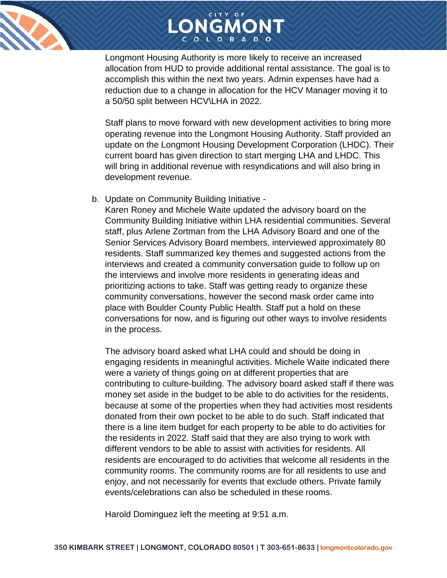



Longmont Housing Authority is more likely to receive an increased allocation from HUD to provide additional rental assistance. The goal is to accomplish this within the next two years. Admin expenses have had a reduction due to a change in allocation for the HCV Manager moving it to a 50/50 split between HCV\LHA in 2022.

Staff plans to move forward with new development activities to bring more operating revenue into the Longmont Housing Authority. Staff provided an update on the Longmont Housing Development Corporation (LHDC). Their current board has given direction to start merging LHA and LHDC. This will bring in additional revenue with resyndications and will also bring in development revenue.

b. Update on Community Building Initiative -

Karen Roney and Michele Waite updated the advisory board on the Community Building Initiative within LHA residential communities. Several staff, plus Arlene Zortman from the LHA Advisory Board and one of the Senior Services Advisory Board members, interviewed approximately 80 residents. Staff summarized key themes and suggested actions from the interviews and created a community conversation guide to follow up on the interviews and involve more residents in generating ideas and prioritizing actions to take. Staff was getting ready to organize these community conversations, however the second mask order came into place with Boulder County Public Health. Staff put a hold on these conversations for now, and is figuring out other ways to involve residents in the process.

The advisory board asked what LHA could and should be doing in engaging residents in meaningful activities. Michele Waite indicated there were a variety of things going on at different properties that are contributing to culture-building. The advisory board asked staff if there was money set aside in the budget to be able to do activities for the residents, because at some of the properties when they had activities most residents donated from their own pocket to be able to do such. Staff indicated that there is a line item budget for each property to be able to do activities for the residents in 2022. Staff said that they are also trying to work with different vendors to be able to assist with activities for residents. All residents are encouraged to do activities that welcome all residents in the community rooms. The community rooms are for all residents to use and enjoy, and not necessarily for events that exclude others. Private family events/celebrations can also be scheduled in these rooms.

Harold Dominguez left the meeting at 9:51 a.m.